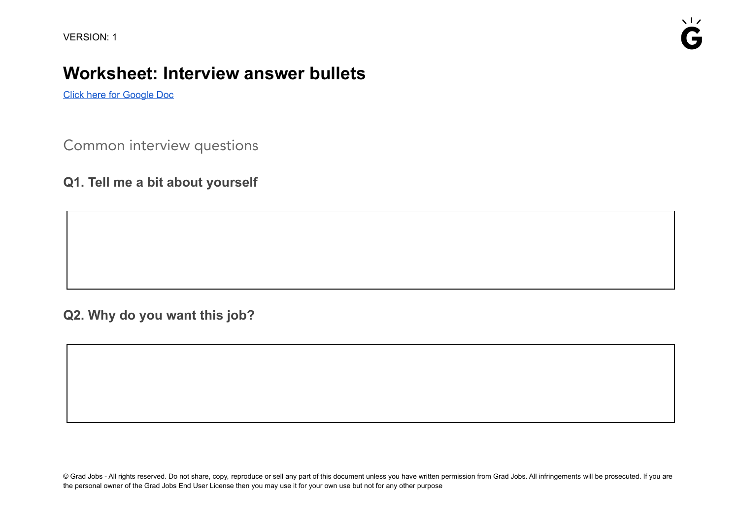## **Worksheet: Interview answer bullets**

Click here for [Google](https://docs.google.com/document/d/1p_TN-sdf9aIfHJuS7YiKbGCKOBrpyJJduc2KDmjRS9w) Doc

Common interview questions

**Q1. Tell me a bit about yourself**

**Q2. Why do you want this job?**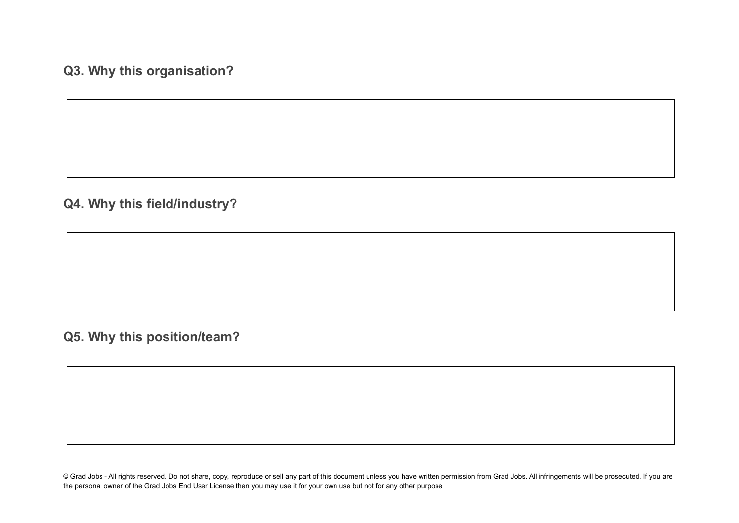**Q3. Why this organisation?**

**Q4. Why this field/industry?**

**Q5. Why this position/team?**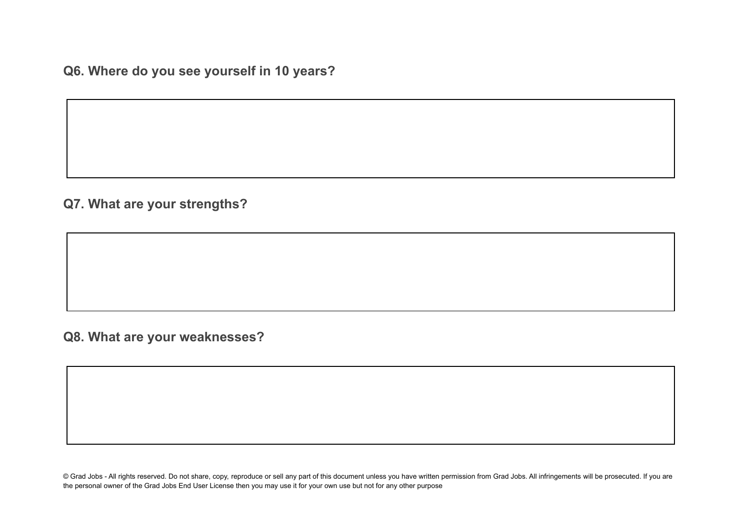**Q6. Where do you see yourself in 10 years?**

**Q7. What are your strengths?**

**Q8. What are your weaknesses?**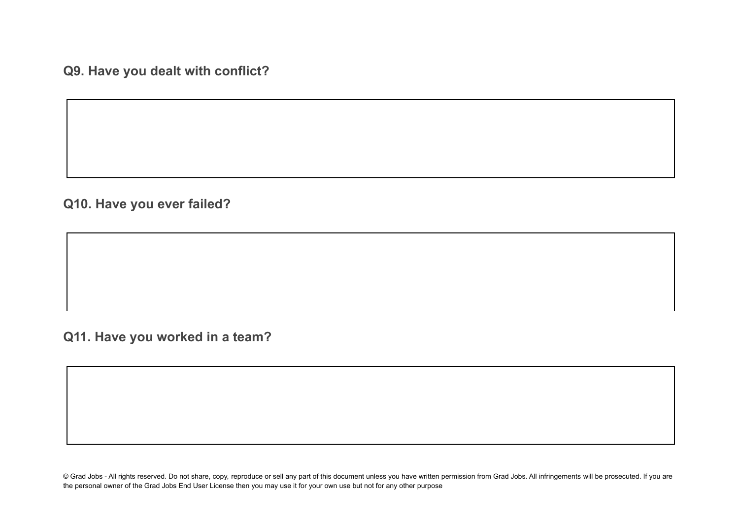**Q9. Have you dealt with conflict?**

**Q10. Have you ever failed?**

**Q11. Have you worked in a team?**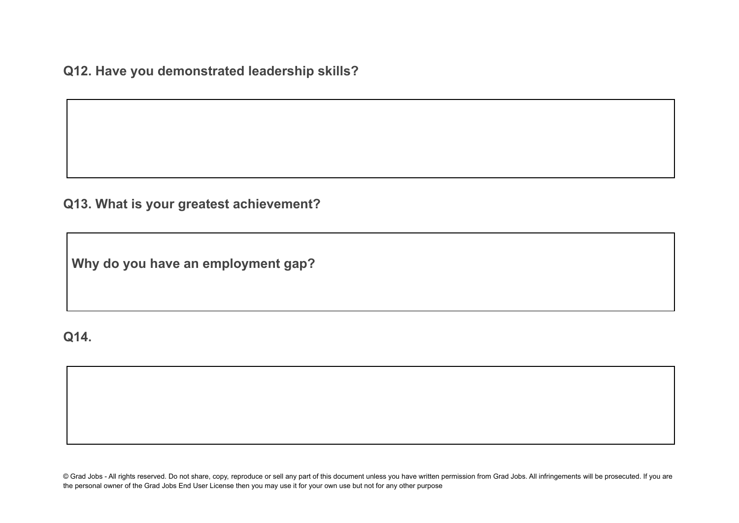**Q12. Have you demonstrated leadership skills?**

**Q13. What is your greatest achievement?**

**Why do you have an employment gap?**

## **Q14.**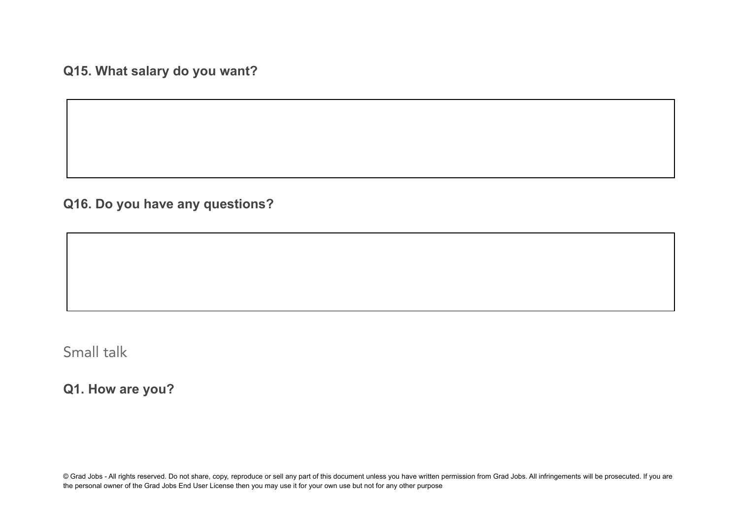**Q15. What salary do you want?**

**Q16. Do you have any questions?**

Small talk

**Q1. How are you?**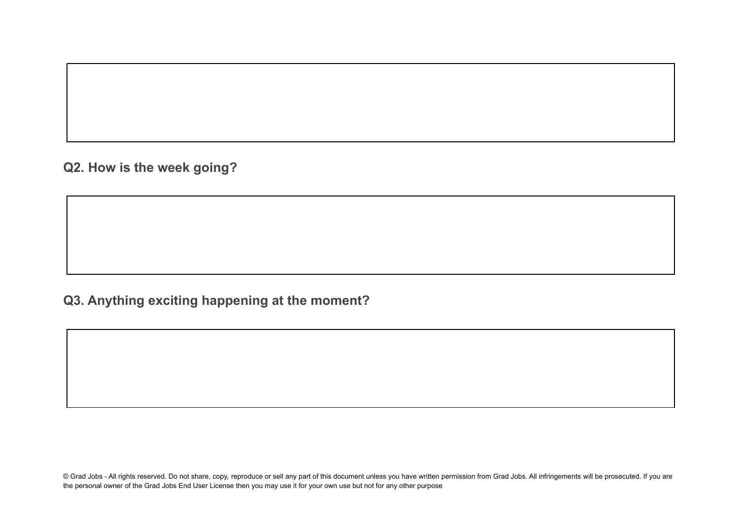**Q2. How is the week going?**

## **Q3. Anything exciting happening at the moment?**